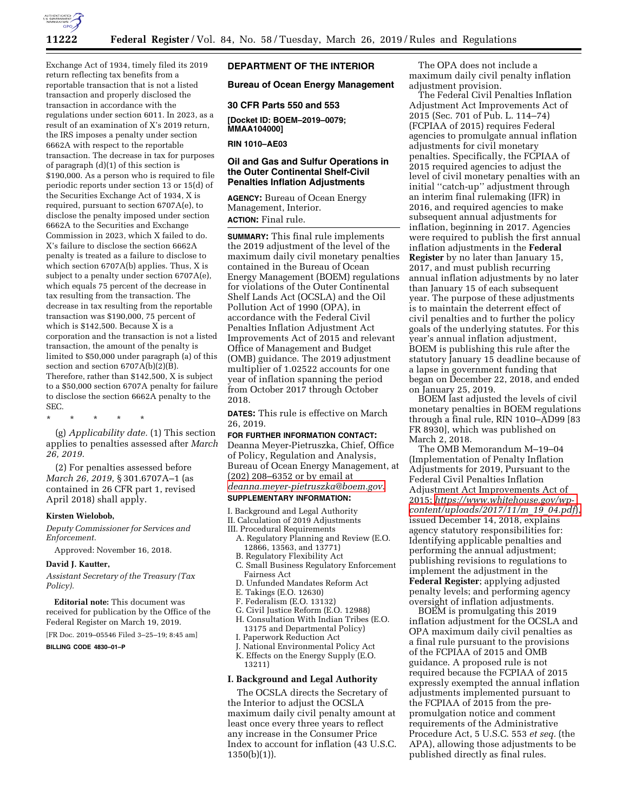

return reflecting tax benefits from a reportable transaction that is not a listed transaction and properly disclosed the transaction in accordance with the regulations under section 6011. In 2023, as a result of an examination of X's 2019 return, the IRS imposes a penalty under section 6662A with respect to the reportable transaction. The decrease in tax for purposes of paragraph (d)(1) of this section is \$190,000. As a person who is required to file periodic reports under section 13 or 15(d) of the Securities Exchange Act of 1934, X is required, pursuant to section 6707A(e), to disclose the penalty imposed under section 6662A to the Securities and Exchange Commission in 2023, which X failed to do. X's failure to disclose the section 6662A penalty is treated as a failure to disclose to which section 6707A(b) applies. Thus, X is subject to a penalty under section 6707A(e), which equals 75 percent of the decrease in tax resulting from the transaction. The decrease in tax resulting from the reportable transaction was \$190,000, 75 percent of which is \$142,500. Because X is a corporation and the transaction is not a listed transaction, the amount of the penalty is limited to \$50,000 under paragraph (a) of this section and section 6707A(b)(2)(B). Therefore, rather than \$142,500, X is subject to a \$50,000 section 6707A penalty for failure to disclose the section 6662A penalty to the SEC.

Exchange Act of 1934, timely filed its 2019

\* \* \* \* \*

(g) *Applicability date.* (1) This section applies to penalties assessed after *March 26, 2019.* 

(2) For penalties assessed before *March 26, 2019,* § 301.6707A–1 (as contained in 26 CFR part 1, revised April 2018) shall apply.

#### **Kirsten Wielobob,**

*Deputy Commissioner for Services and Enforcement.* 

Approved: November 16, 2018.

#### **David J. Kautter,**

*Assistant Secretary of the Treasury (Tax Policy).* 

**Editorial note:** This document was received for publication by the Office of the Federal Register on March 19, 2019.

[FR Doc. 2019–05546 Filed 3–25–19; 8:45 am]

**BILLING CODE 4830–01–P** 

### **DEPARTMENT OF THE INTERIOR**

### **Bureau of Ocean Energy Management**

**30 CFR Parts 550 and 553** 

**[Docket ID: BOEM–2019–0079; MMAA104000]** 

**RIN 1010–AE03** 

### **Oil and Gas and Sulfur Operations in the Outer Continental Shelf-Civil Penalties Inflation Adjustments**

**AGENCY:** Bureau of Ocean Energy Management, Interior. **ACTION:** Final rule.

**SUMMARY:** This final rule implements the 2019 adjustment of the level of the maximum daily civil monetary penalties contained in the Bureau of Ocean Energy Management (BOEM) regulations for violations of the Outer Continental Shelf Lands Act (OCSLA) and the Oil Pollution Act of 1990 (OPA), in accordance with the Federal Civil Penalties Inflation Adjustment Act Improvements Act of 2015 and relevant Office of Management and Budget (OMB) guidance. The 2019 adjustment multiplier of 1.02522 accounts for one year of inflation spanning the period from October 2017 through October 2018.

**DATES:** This rule is effective on March 26, 2019.

### **FOR FURTHER INFORMATION CONTACT:**

Deanna Meyer-Pietruszka, Chief, Office of Policy, Regulation and Analysis, Bureau of Ocean Energy Management, at (202) 208–6352 or by email at *[deanna.meyer-pietruszka@boem.gov](mailto:deanna.meyer-pietruszka@boem.gov)*. **SUPPLEMENTARY INFORMATION:** 

I. Background and Legal Authority II. Calculation of 2019 Adjustments III. Procedural Requirements

- A. Regulatory Planning and Review (E.O.
- 12866, 13563, and 13771)
- B. Regulatory Flexibility Act
- C. Small Business Regulatory Enforcement Fairness Act
- D. Unfunded Mandates Reform Act
- E. Takings (E.O. 12630)
- F. Federalism (E.O. 13132)
- G. Civil Justice Reform (E.O. 12988)
- H. Consultation With Indian Tribes (E.O. 13175 and Departmental Policy)
- I. Paperwork Reduction Act
- J. National Environmental Policy Act K. Effects on the Energy Supply (E.O. 13211)

#### **I. Background and Legal Authority**

The OCSLA directs the Secretary of the Interior to adjust the OCSLA maximum daily civil penalty amount at least once every three years to reflect any increase in the Consumer Price Index to account for inflation (43 U.S.C.  $1350(b)(1)$ ).

The OPA does not include a maximum daily civil penalty inflation adjustment provision.

The Federal Civil Penalties Inflation Adjustment Act Improvements Act of 2015 (Sec. 701 of Pub. L. 114–74) (FCPIAA of 2015) requires Federal agencies to promulgate annual inflation adjustments for civil monetary penalties. Specifically, the FCPIAA of 2015 required agencies to adjust the level of civil monetary penalties with an initial ''catch-up'' adjustment through an interim final rulemaking (IFR) in 2016, and required agencies to make subsequent annual adjustments for inflation, beginning in 2017. Agencies were required to publish the first annual inflation adjustments in the **Federal Register** by no later than January 15, 2017, and must publish recurring annual inflation adjustments by no later than January 15 of each subsequent year. The purpose of these adjustments is to maintain the deterrent effect of civil penalties and to further the policy goals of the underlying statutes. For this year's annual inflation adjustment, BOEM is publishing this rule after the statutory January 15 deadline because of a lapse in government funding that began on December 22, 2018, and ended on January 25, 2019.

BOEM last adjusted the levels of civil monetary penalties in BOEM regulations through a final rule, RIN 1010–AD99 [83 FR 8930], which was published on March 2, 2018.

The OMB Memorandum M–19–04 (Implementation of Penalty Inflation Adjustments for 2019, Pursuant to the Federal Civil Penalties Inflation Adjustment Act Improvements Act of 2015; *[https://www.whitehouse.gov/wp](https://www.whitehouse.gov/wp-content/uploads/2017/11/m_19_04.pdf)[content/uploads/2017/11/m](https://www.whitehouse.gov/wp-content/uploads/2017/11/m_19_04.pdf)*\_*19*\_*04.pdf*), issued December 14, 2018, explains agency statutory responsibilities for: Identifying applicable penalties and performing the annual adjustment; publishing revisions to regulations to implement the adjustment in the **Federal Register**; applying adjusted penalty levels; and performing agency oversight of inflation adjustments.

BOEM is promulgating this 2019 inflation adjustment for the OCSLA and OPA maximum daily civil penalties as a final rule pursuant to the provisions of the FCPIAA of 2015 and OMB guidance. A proposed rule is not required because the FCPIAA of 2015 expressly exempted the annual inflation adjustments implemented pursuant to the FCPIAA of 2015 from the prepromulgation notice and comment requirements of the Administrative Procedure Act, 5 U.S.C. 553 *et seq.* (the APA), allowing those adjustments to be published directly as final rules.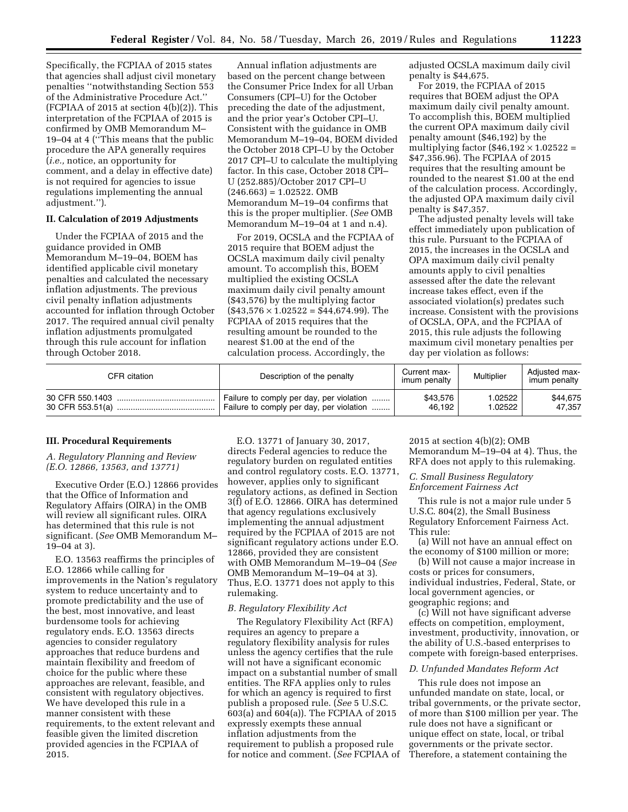Specifically, the FCPIAA of 2015 states that agencies shall adjust civil monetary penalties ''notwithstanding Section 553 of the Administrative Procedure Act.'' (FCPIAA of 2015 at section  $4(b)(2)$ ). This interpretation of the FCPIAA of 2015 is confirmed by OMB Memorandum M– 19–04 at 4 (''This means that the public procedure the APA generally requires (*i.e.,* notice, an opportunity for comment, and a delay in effective date) is not required for agencies to issue regulations implementing the annual adjustment.'').

### **II. Calculation of 2019 Adjustments**

Under the FCPIAA of 2015 and the guidance provided in OMB Memorandum M–19–04, BOEM has identified applicable civil monetary penalties and calculated the necessary inflation adjustments. The previous civil penalty inflation adjustments accounted for inflation through October 2017. The required annual civil penalty inflation adjustments promulgated through this rule account for inflation through October 2018.

Annual inflation adjustments are based on the percent change between the Consumer Price Index for all Urban Consumers (CPI–U) for the October preceding the date of the adjustment, and the prior year's October CPI–U. Consistent with the guidance in OMB Memorandum M–19–04, BOEM divided the October 2018 CPI–U by the October 2017 CPI–U to calculate the multiplying factor. In this case, October 2018 CPI– U (252.885)/October 2017 CPI–U  $(246.663) = 1.02522$ . OMB Memorandum M–19–04 confirms that this is the proper multiplier. (*See* OMB Memorandum M–19–04 at 1 and n.4).

For 2019, OCSLA and the FCPIAA of 2015 require that BOEM adjust the OCSLA maximum daily civil penalty amount. To accomplish this, BOEM multiplied the existing OCSLA maximum daily civil penalty amount (\$43,576) by the multiplying factor  $($43,576 \times 1.02522 = $44,674.99)$ . The FCPIAA of 2015 requires that the resulting amount be rounded to the nearest \$1.00 at the end of the calculation process. Accordingly, the

adjusted OCSLA maximum daily civil penalty is \$44,675.

For 2019, the FCPIAA of 2015 requires that BOEM adjust the OPA maximum daily civil penalty amount. To accomplish this, BOEM multiplied the current OPA maximum daily civil penalty amount (\$46,192) by the multiplying factor  $(\$46,192 \times 1.02522 =$ \$47,356.96). The FCPIAA of 2015 requires that the resulting amount be rounded to the nearest \$1.00 at the end of the calculation process. Accordingly, the adjusted OPA maximum daily civil penalty is \$47,357.

The adjusted penalty levels will take effect immediately upon publication of this rule. Pursuant to the FCPIAA of 2015, the increases in the OCSLA and OPA maximum daily civil penalty amounts apply to civil penalties assessed after the date the relevant increase takes effect, even if the associated violation(s) predates such increase. Consistent with the provisions of OCSLA, OPA, and the FCPIAA of 2015, this rule adjusts the following maximum civil monetary penalties per day per violation as follows:

| CFR citation    | Description of the penalty               | Current max-<br>imum penalty | Multiplier | Adjusted max-<br>imum penalty |
|-----------------|------------------------------------------|------------------------------|------------|-------------------------------|
| 30 CFR 550.1403 | Failure to comply per day, per violation | \$43,576                     | 1.02522    | \$44,675                      |
|                 | Failure to comply per day, per violation | 46.192                       | 1.02522    | 47,357                        |

#### **III. Procedural Requirements**

### *A. Regulatory Planning and Review (E.O. 12866, 13563, and 13771)*

Executive Order (E.O.) 12866 provides that the Office of Information and Regulatory Affairs (OIRA) in the OMB will review all significant rules. OIRA has determined that this rule is not significant. (*See* OMB Memorandum M– 19–04 at 3).

E.O. 13563 reaffirms the principles of E.O. 12866 while calling for improvements in the Nation's regulatory system to reduce uncertainty and to promote predictability and the use of the best, most innovative, and least burdensome tools for achieving regulatory ends. E.O. 13563 directs agencies to consider regulatory approaches that reduce burdens and maintain flexibility and freedom of choice for the public where these approaches are relevant, feasible, and consistent with regulatory objectives. We have developed this rule in a manner consistent with these requirements, to the extent relevant and feasible given the limited discretion provided agencies in the FCPIAA of 2015.

E.O. 13771 of January 30, 2017, directs Federal agencies to reduce the regulatory burden on regulated entities and control regulatory costs. E.O. 13771, however, applies only to significant regulatory actions, as defined in Section 3(f) of E.O. 12866. OIRA has determined that agency regulations exclusively implementing the annual adjustment required by the FCPIAA of 2015 are not significant regulatory actions under E.O. 12866, provided they are consistent with OMB Memorandum M–19–04 (*See*  OMB Memorandum M–19–04 at 3). Thus, E.O. 13771 does not apply to this rulemaking.

#### *B. Regulatory Flexibility Act*

The Regulatory Flexibility Act (RFA) requires an agency to prepare a regulatory flexibility analysis for rules unless the agency certifies that the rule will not have a significant economic impact on a substantial number of small entities. The RFA applies only to rules for which an agency is required to first publish a proposed rule. (*See* 5 U.S.C. 603(a) and 604(a)). The FCPIAA of 2015 expressly exempts these annual inflation adjustments from the requirement to publish a proposed rule for notice and comment. (*See* FCPIAA of 2015 at section 4(b)(2); OMB Memorandum M–19–04 at 4). Thus, the RFA does not apply to this rulemaking.

*C. Small Business Regulatory Enforcement Fairness Act* 

This rule is not a major rule under 5 U.S.C. 804(2), the Small Business Regulatory Enforcement Fairness Act. This rule:

(a) Will not have an annual effect on the economy of \$100 million or more;

(b) Will not cause a major increase in costs or prices for consumers, individual industries, Federal, State, or local government agencies, or geographic regions; and

(c) Will not have significant adverse effects on competition, employment, investment, productivity, innovation, or the ability of U.S.-based enterprises to compete with foreign-based enterprises.

### *D. Unfunded Mandates Reform Act*

This rule does not impose an unfunded mandate on state, local, or tribal governments, or the private sector, of more than \$100 million per year. The rule does not have a significant or unique effect on state, local, or tribal governments or the private sector. Therefore, a statement containing the